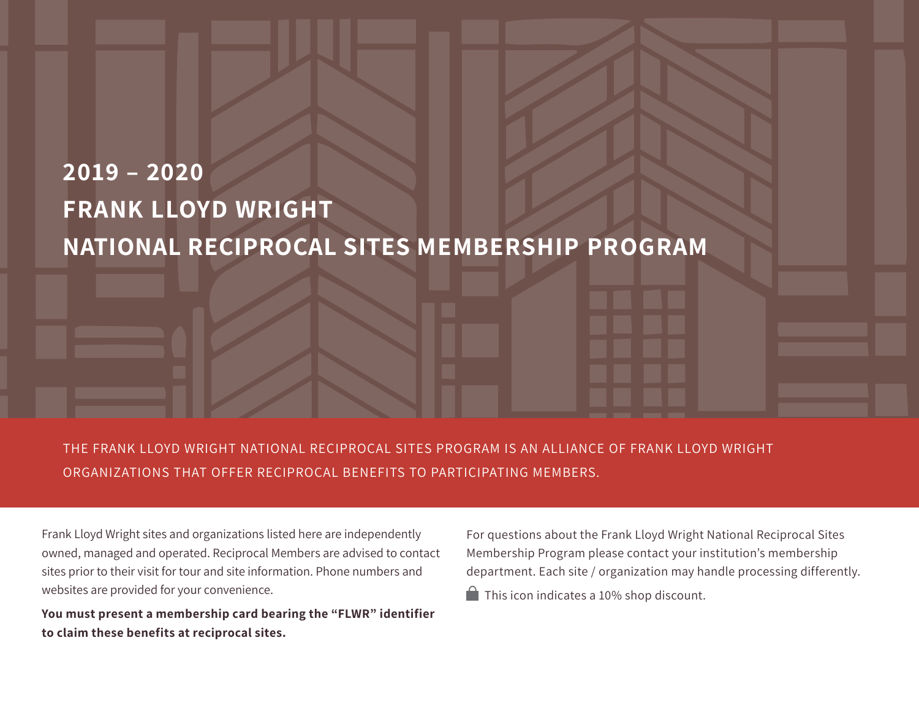# **2019 – 2020 FRANK LLOYD WRIGHT NATIONAL RECIPROCAL SITES MEMBERSHIP PROGRAM**

THE FRANK LLOYD WRIGHT NATIONAL RECIPROCAL SITES PROGRAM IS AN ALLIANCE OF FRANK LLOYD WRIGHT ORGANIZATIONS THAT OFFER RECIPROCAL BENEFITS TO PARTICIPATING MEMBERS.

Frank Lloyd Wright sites and organizations listed here are independently owned, managed and operated. Reciprocal Members are advised to contact sites prior to their visit for tour and site information. Phone numbers and websites are provided for your convenience.

**You must present a membership card bearing the "FLWR" identifier to claim these benefits at reciprocal sites.**

For questions about the Frank Lloyd Wright National Reciprocal Sites Membership Program please contact your institution's membership department. Each site / organization may handle processing differently.  $\Box$  This icon indicates a 10% shop discount.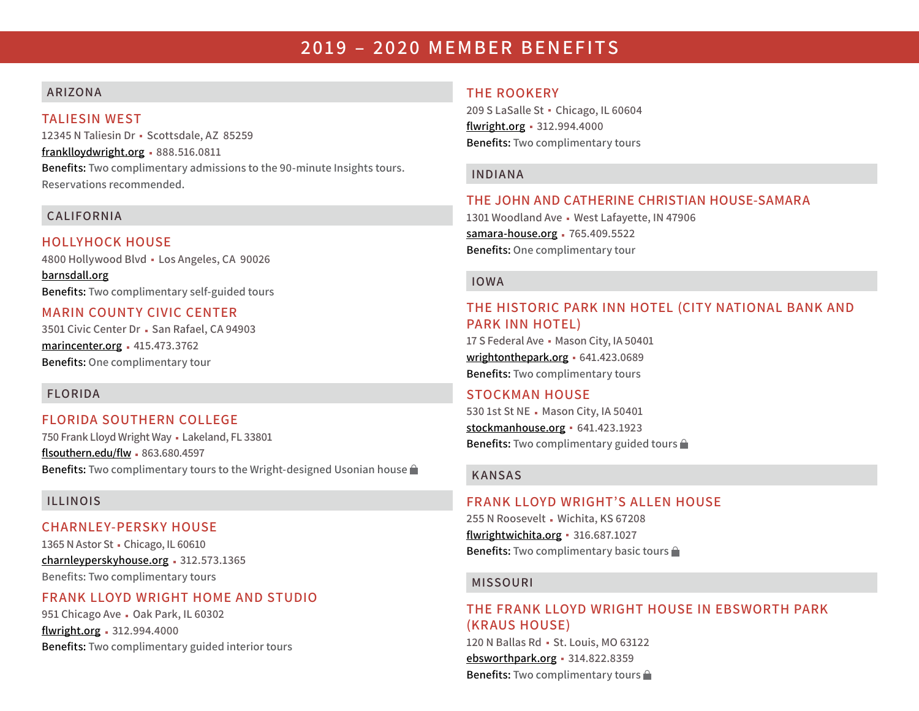# **2019 – 2020 MEMBER BENEFITS**

# **ARIZONA**

# **TALIESIN WEST**

**12345 N Taliesin Dr Scottsdale, AZ 85259 <franklloydwright.org> 888.516.0811** 

**Benefits: Two complimentary admissions to the 90-minute Insights tours. Reservations recommended.**

# **CALIFORNIA**

**HOLLYHOCK HOUSE 4800 Hollywood Blvd Los Angeles, CA 90026**

**[barnsdall.org](http://barnsdall.org) Benefits: Two complimentary self-guided tours**

# **MARIN COUNTY CIVIC CENTER**

3501 Civic Center Dr · San Rafael, CA 94903 **<marincenter.org> 415.473.3762 Benefits: One complimentary tour**

# **FLORIDA**

# **FLORIDA SOUTHERN COLLEGE**

**750 Frank Lloyd Wright Way Lakeland, FL 33801 [flsouthern.edu/flw](http://flsouthern.edu/flw) 863.680.4597 Benefits: Two complimentary tours to the Wright-designed Usonian house** 

# **ILLINOIS**

#### **CHARNLEY-PERSKY HOUSE**

**1365 N Astor St Chicago, IL 60610 <charnleyperskyhouse.org> 312.573.1365 Benefits: Two complimentary tours**

# **FRANK LLOYD WRIGHT HOME AND STUDIO**

**951 Chicago Ave - Oak Park, IL 60302 [flwright.org](http://flwright.org) 312.994.4000 Benefits: Two complimentary guided interior tours**

# **THE ROOKERY**

**209 S LaSalle St Chicago, IL 60604 [flwright.org](http://flwright.org) 312.994.4000 Benefits: Two complimentary tours**

#### **INDIANA**

# **THE JOHN AND CATHERINE CHRISTIAN HOUSE-SAMARA**

**1301 Woodland Ave West Lafayette, IN 47906 [samara-house.org](http://samara-house.org) 765.409.5522 Benefits: One complimentary tour**

#### **IOWA**

# **THE HISTORIC PARK INN HOTEL (CITY NATIONAL BANK AND PARK INN HOTEL)**

**17 S Federal Ave Mason City, IA 50401 [wrightonthepark.org](http://wrightonthepark.org) 641.423.0689 Benefits: Two complimentary tours**

# **STOCKMAN HOUSE**

530 1st St NE - Mason City, IA 50401 **<stockmanhouse.org> 641.423.1923 Benefits: Two complimentary guided tours** 

#### **KANSAS**

#### **FRANK LLOYD WRIGHT'S ALLEN HOUSE**

**255 N Roosevelt Wichita, KS 67208 [flwrightwichita.org](http://flwrightwichita.org) 316.687.1027 Benefits: Two complimentary basic tours** 

#### **MISSOURI**

# **THE FRANK LLOYD WRIGHT HOUSE IN EBSWORTH PARK (KRAUS HOUSE)**

**120 N Ballas Rd St. Louis, MO 63122 [ebsworthpark.org](http://ebsworthpark.org) 314.822.8359 Benefits: Two complimentary tours**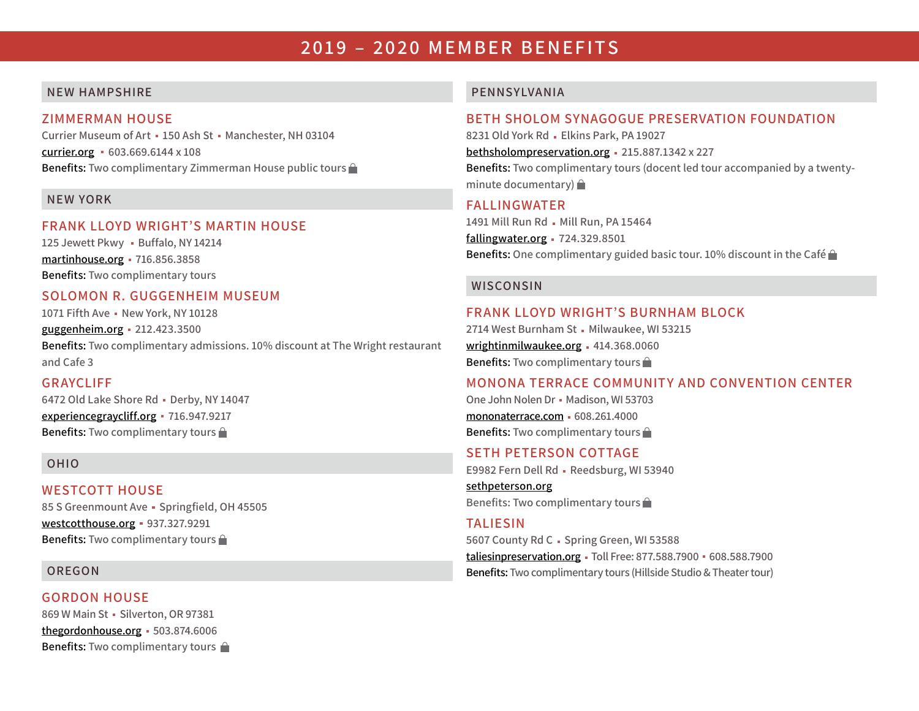# **2019 – 2020 MEMBER BENEFITS**

#### **NEW HAMPSHIRE**

#### **ZIMMERMAN HOUSE**

**Currier Museum of Art 150 Ash St Manchester, NH 03104 [currier.org](http://currier.org) 603.669.6144 x 108 Benefits: Two complimentary Zimmerman House public tours** 

#### **NEW YORK**

#### **FRANK LLOYD WRIGHT'S MARTIN HOUSE**

125 Jewett Pkwy · Buffalo, NY 14214 **[martinhouse.org](http://martinhouse.org) 716.856.3858 Benefits: Two complimentary tours**

# **SOLOMON R. GUGGENHEIM MUSEUM**

**1071 Fifth Ave New York, NY 10128**

**[guggenheim.org](http://guggenheim.org) 212.423.3500** 

**Benefits: Two complimentary admissions. 10% discount at The Wright restaurant and Cafe 3** 

#### **GRAYCLIFF**

**6472 Old Lake Shore Rd Derby, NY 14047 <experiencegraycliff.org> 716.947.9217 Benefits: Two complimentary tours** 

#### **OHIO**

#### **WESTCOTT HOUSE**

**85 S Greenmount Ave Springfield, OH 45505 <westcotthouse.org> 937.327.9291 Benefits: Two complimentary tours** 

#### **OREGON**

**GORDON HOUSE 869 W Main St Silverton, OR 97381 [thegordonhouse.org](http://thegordonhouse.org) 503.874.6006 Benefits: Two complimentary tours** 

#### **PENNSYLVANIA**

# **BETH SHOLOM SYNAGOGUE PRESERVATION FOUNDATION**

**8231 Old York Rd Elkins Park, PA 19027**

**[bethsholompreservation.org](http://bethsholompreservation.org) 215.887.1342 x 227**

**Benefits: Two complimentary tours (docent led tour accompanied by a twentyminute documentary)** 

# **FALLINGWATER**

1491 Mill Run Rd - Mill Run, PA 15464 **<fallingwater.org> 724.329.8501 Benefits: One complimentary guided basic tour. 10% discount in the Café** 

#### **WISCONSIN**

#### **FRANK LLOYD WRIGHT'S BURNHAM BLOCK**

2714 West Burnham St - Milwaukee, WI 53215 **[wrightinmilwaukee.org](http://wrightinmilwaukee.org) 414.368.0060 Benefits: Two complimentary tours** 

#### **MONONA TERRACE COMMUNITY AND CONVENTION CENTER**

**One John Nolen Dr Madison, WI 53703 [mononaterrace.com](http://mononaterrace.com) 608.261.4000 Benefits: Two complimentary tours** 

#### **SETH PETERSON COTTAGE**

E9982 Fern Dell Rd - Reedsburg, WI 53940

**[sethpeterson.org](http://sethpeterson.org) Benefits: Two complimentary tours** 

#### **TALIESIN**

5607 County Rd C - Spring Green, WI 53588 **[taliesinpreservation.org](http://taliesinpreservation.org) Toll Free: 877.588.7900 608.588.7900 Benefits: Two complimentary tours (Hillside Studio & Theater tour)**